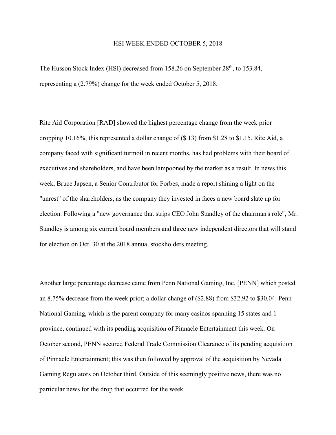## HSI WEEK ENDED OCTOBER 5, 2018

The Husson Stock Index (HSI) decreased from 158.26 on September 28<sup>th</sup>, to 153.84, representing a (2.79%) change for the week ended October 5, 2018.

Rite Aid Corporation [RAD] showed the highest percentage change from the week prior dropping 10.16%; this represented a dollar change of (\$.13) from \$1.28 to \$1.15. Rite Aid, a company faced with significant turmoil in recent months, has had problems with their board of executives and shareholders, and have been lampooned by the market as a result. In news this week, Bruce Japsen, a Senior Contributor for Forbes, made a report shining a light on the "unrest" of the shareholders, as the company they invested in faces a new board slate up for election. Following a "new governance that strips CEO John Standley of the chairman's role", Mr. Standley is among six current board members and three new independent directors that will stand for election on Oct. 30 at the 2018 annual stockholders meeting.

Another large percentage decrease came from Penn National Gaming, Inc. [PENN] which posted an 8.75% decrease from the week prior; a dollar change of (\$2.88) from \$32.92 to \$30.04. Penn National Gaming, which is the parent company for many casinos spanning 15 states and 1 province, continued with its pending acquisition of Pinnacle Entertainment this week. On October second, PENN secured Federal Trade Commission Clearance of its pending acquisition of Pinnacle Entertainment; this was then followed by approval of the acquisition by Nevada Gaming Regulators on October third. Outside of this seemingly positive news, there was no particular news for the drop that occurred for the week.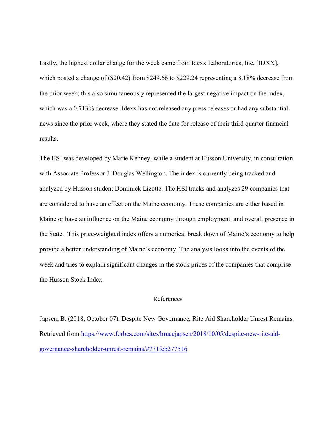Lastly, the highest dollar change for the week came from Idexx Laboratories, Inc. [IDXX], which posted a change of (\$20.42) from \$249.66 to \$229.24 representing a 8.18% decrease from the prior week; this also simultaneously represented the largest negative impact on the index, which was a 0.713% decrease. Idexx has not released any press releases or had any substantial news since the prior week, where they stated the date for release of their third quarter financial results.

The HSI was developed by Marie Kenney, while a student at Husson University, in consultation with Associate Professor J. Douglas Wellington. The index is currently being tracked and analyzed by Husson student Dominick Lizotte. The HSI tracks and analyzes 29 companies that are considered to have an effect on the Maine economy. These companies are either based in Maine or have an influence on the Maine economy through employment, and overall presence in the State. This price-weighted index offers a numerical break down of Maine's economy to help provide a better understanding of Maine's economy. The analysis looks into the events of the week and tries to explain significant changes in the stock prices of the companies that comprise the Husson Stock Index.

## References

Japsen, B. (2018, October 07). Despite New Governance, Rite Aid Shareholder Unrest Remains. Retrieved from [https://www.forbes.com/sites/brucejapsen/2018/10/05/despite-new-rite-aid](https://www.forbes.com/sites/brucejapsen/2018/10/05/despite-new-rite-aid-governance-shareholder-unrest-remains/#771feb277516)[governance-shareholder-unrest-remains/#771feb277516](https://www.forbes.com/sites/brucejapsen/2018/10/05/despite-new-rite-aid-governance-shareholder-unrest-remains/#771feb277516)